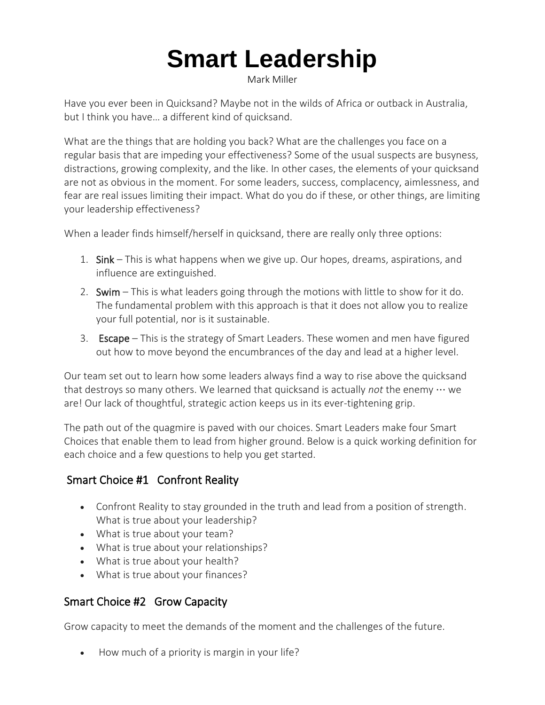# **Smart Leadership**

Mark Miller

Have you ever been in Quicksand? Maybe not in the wilds of Africa or outback in Australia, but I think you have… a different kind of quicksand.

What are the things that are holding you back? What are the challenges you face on a regular basis that are impeding your effectiveness? Some of the usual suspects are busyness, distractions, growing complexity, and the like. In other cases, the elements of your quicksand are not as obvious in the moment. For some leaders, success, complacency, aimlessness, and fear are real issues limiting their impact. What do you do if these, or other things, are limiting your leadership effectiveness?

When a leader finds himself/herself in quicksand, there are really only three options:

- 1. Sink This is what happens when we give up. Our hopes, dreams, aspirations, and influence are extinguished.
- 2. Swim This is what leaders going through the motions with little to show for it do. The fundamental problem with this approach is that it does not allow you to realize your full potential, nor is it sustainable.
- 3. Escape This is the strategy of Smart Leaders. These women and men have figured out how to move beyond the encumbrances of the day and lead at a higher level.

Our team set out to learn how some leaders always find a way to rise above the quicksand that destroys so many others. We learned that quicksand is actually *not* the enemy ⋯ we are! Our lack of thoughtful, strategic action keeps us in its ever-tightening grip.

The path out of the quagmire is paved with our choices. Smart Leaders make four Smart Choices that enable them to lead from higher ground. Below is a quick working definition for each choice and a few questions to help you get started.

## Smart Choice #1 Confront Reality

- Confront Reality to stay grounded in the truth and lead from a position of strength. What is true about your leadership?
- What is true about your team?
- What is true about your relationships?
- What is true about your health?
- What is true about your finances?

### Smart Choice #2 Grow Capacity

Grow capacity to meet the demands of the moment and the challenges of the future.

• How much of a priority is margin in your life?